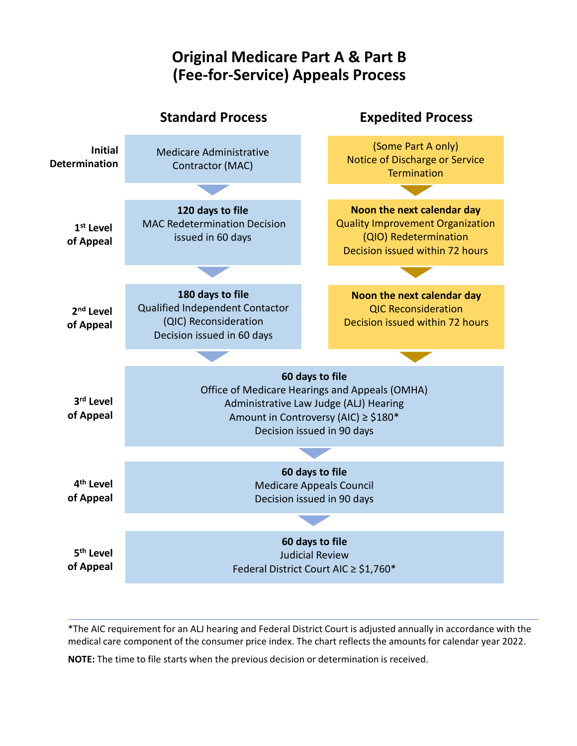## **Original Medicare Part A & Part B (Fee-for-Service) Appeals Process**



\*The AIC requirement for an ALJ hearing and Federal District Court is adjusted annually in accordance with the medical care component of the consumer price index. The chart reflects the amounts for calendar year 2022.

**NOTE:** The time to file starts when the previous decision or determination is received.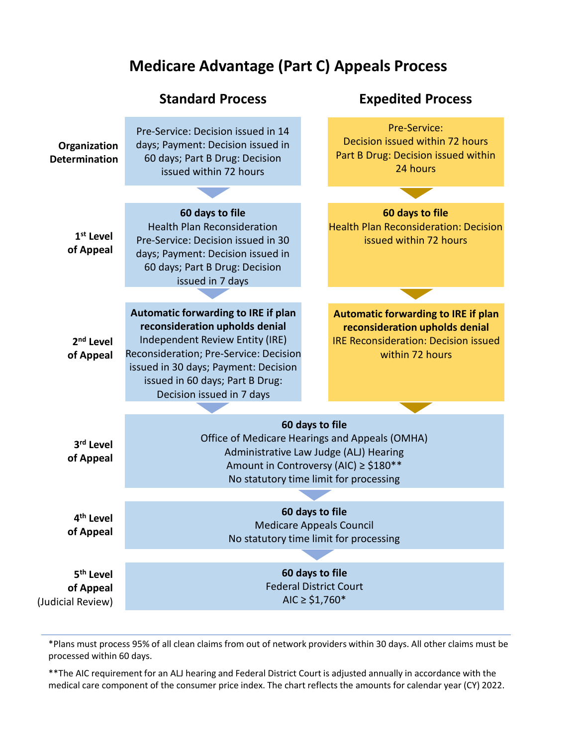## **Medicare Advantage (Part C) Appeals Process**



\*Plans must process 95% of all clean claims from out of network providers within 30 days. All other claims must be processed within 60 days.

\*\*The AIC requirement for an ALJ hearing and Federal District Court is adjusted annually in accordance with the medical care component of the consumer price index. The chart reflects the amounts for calendar year (CY) 2022.